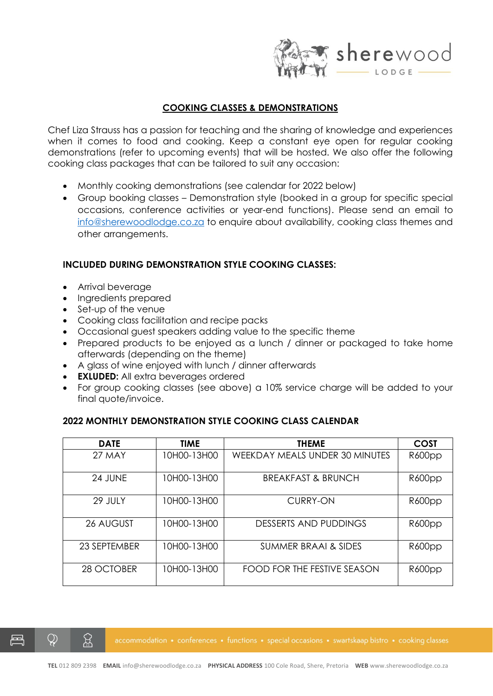

### **COOKING CLASSES & DEMONSTRATIONS**

Chef Liza Strauss has a passion for teaching and the sharing of knowledge and experiences when it comes to food and cooking. Keep a constant eye open for regular cooking demonstrations (refer to upcoming events) that will be hosted. We also offer the following cooking class packages that can be tailored to suit any occasion:

- Monthly cooking demonstrations (see calendar for 2022 below)
- Group booking classes Demonstration style (booked in a group for specific special occasions, conference activities or year-end functions). Please send an email to [info@sherewoodlodge.co.za](mailto:info@sherewoodlodge.co.za) to enquire about availability, cooking class themes and other arrangements.

### **INCLUDED DURING DEMONSTRATION STYLE COOKING CLASSES:**

- Arrival beverage
- Ingredients prepared
- Set-up of the venue
- Cooking class facilitation and recipe packs
- Occasional guest speakers adding value to the specific theme
- Prepared products to be enjoyed as a lunch / dinner or packaged to take home afterwards (depending on the theme)
- A glass of wine enjoyed with lunch / dinner afterwards
- **EXLUDED:** All extra beverages ordered
- For group cooking classes (see above) a 10% service charge will be added to your final quote/invoice.

#### **2022 MONTHLY DEMONSTRATION STYLE COOKING CLASS CALENDAR**

| <b>DATE</b>  | <b>TIME</b> | <b>THEME</b>                          | <b>COST</b> |
|--------------|-------------|---------------------------------------|-------------|
| 27 MAY       | 10H00-13H00 | <b>WEEKDAY MEALS UNDER 30 MINUTES</b> | R600pp      |
| 24 JUNE      | 10H00-13H00 | <b>BREAKFAST &amp; BRUNCH</b>         | R600pp      |
| 29 JULY      | 10H00-13H00 | <b>CURRY-ON</b>                       | R600pp      |
| 26 AUGUST    | 10H00-13H00 | DESSERTS AND PUDDINGS                 | R600pp      |
| 23 SEPTEMBER | 10H00-13H00 | SUMMER BRAAI & SIDES                  | R600pp      |
| 28 OCTOBER   | 10H00-13H00 | FOOD FOR THE FESTIVE SEASON           | R600pp      |

 $\mathcal{Q}$ 

୍ପ୍